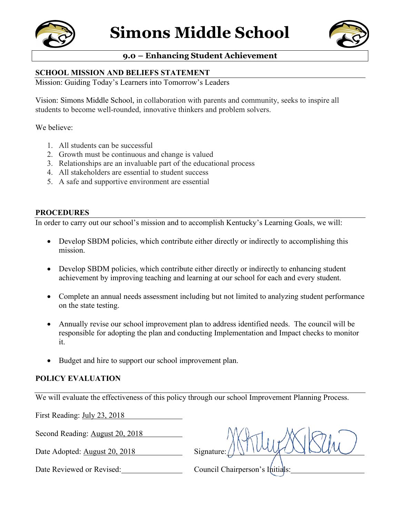



## **9.0 – Enhancing Student Achievement**

## **SCHOOL MISSION AND BELIEFS STATEMENT**

Mission: Guiding Today's Learners into Tomorrow's Leaders

Vision: Simons Middle School, in collaboration with parents and community, seeks to inspire all students to become well-rounded, innovative thinkers and problem solvers.

We believe:

- 1. All students can be successful
- 2. Growth must be continuous and change is valued
- 3. Relationships are an invaluable part of the educational process
- 4. All stakeholders are essential to student success
- 5. A safe and supportive environment are essential

## **PROCEDURES**

In order to carry out our school's mission and to accomplish Kentucky's Learning Goals, we will:

- Develop SBDM policies, which contribute either directly or indirectly to accomplishing this mission.
- Develop SBDM policies, which contribute either directly or indirectly to enhancing student achievement by improving teaching and learning at our school for each and every student.
- Complete an annual needs assessment including but not limited to analyzing student performance on the state testing.
- Annually revise our school improvement plan to address identified needs. The council will be responsible for adopting the plan and conducting Implementation and Impact checks to monitor it.
- Budget and hire to support our school improvement plan.

## **POLICY EVALUATION**

We will evaluate the effectiveness of this policy through our school Improvement Planning Process.

First Reading: July 23, 2018

Second Reading: August 20, 2018

Date Adopted: August 20, 2018 Signature:

Date Reviewed or Revised: Council Chairperson's Initials: